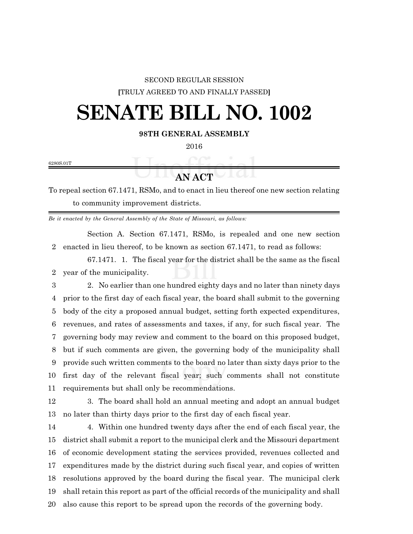## SECOND REGULAR SESSION **[**TRULY AGREED TO AND FINALLY PASSED**]**

## **SENATE BILL NO. 1002**

**98TH GENERAL ASSEMBLY**

6280S.01T

**ANACT** 

To repeal section 67.1471, RSMo, and to enact in lieu thereof one new section relating to community improvement districts.

*Be it enacted by the General Assembly of the State of Missouri, as follows:*

Section A. Section 67.1471, RSMo, is repealed and one new section enacted in lieu thereof, to be known as section 67.1471, to read as follows:

67.1471. 1. The fiscal year for the district shall be the same as the fiscal year of the municipality.

 2. No earlier than one hundred eighty days and no later than ninety days prior to the first day of each fiscal year, the board shall submit to the governing body of the city a proposed annual budget, setting forth expected expenditures, revenues, and rates of assessments and taxes, if any, for such fiscal year. The governing body may review and comment to the board on this proposed budget, but if such comments are given, the governing body of the municipality shall provide such written comments to the board no later than sixty days prior to the first day of the relevant fiscal year; such comments shall not constitute requirements but shall only be recommendations.

 3. The board shall hold an annual meeting and adopt an annual budget no later than thirty days prior to the first day of each fiscal year.

 4. Within one hundred twenty days after the end of each fiscal year, the district shall submit a report to the municipal clerk and the Missouri department of economic development stating the services provided, revenues collected and expenditures made by the district during such fiscal year, and copies of written resolutions approved by the board during the fiscal year. The municipal clerk shall retain this report as part of the official records of the municipality and shall also cause this report to be spread upon the records of the governing body.